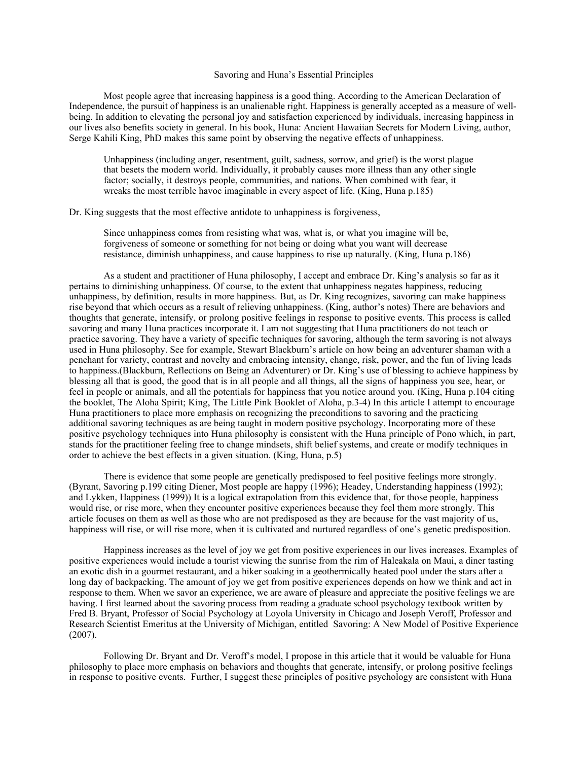## Savoring and Huna's Essential Principles

Most people agree that increasing happiness is a good thing. According to the American Declaration of Independence, the pursuit of happiness is an unalienable right. Happiness is generally accepted as a measure of wellbeing. In addition to elevating the personal joy and satisfaction experienced by individuals, increasing happiness in our lives also benefits society in general. In his book, Huna: Ancient Hawaiian Secrets for Modern Living, author, Serge Kahili King, PhD makes this same point by observing the negative effects of unhappiness.

Unhappiness (including anger, resentment, guilt, sadness, sorrow, and grief) is the worst plague that besets the modern world. Individually, it probably causes more illness than any other single factor; socially, it destroys people, communities, and nations. When combined with fear, it wreaks the most terrible havoc imaginable in every aspect of life. (King, Huna p.185)

Dr. King suggests that the most effective antidote to unhappiness is forgiveness,

Since unhappiness comes from resisting what was, what is, or what you imagine will be, forgiveness of someone or something for not being or doing what you want will decrease resistance, diminish unhappiness, and cause happiness to rise up naturally. (King, Huna p.186)

As a student and practitioner of Huna philosophy, I accept and embrace Dr. King's analysis so far as it pertains to diminishing unhappiness. Of course, to the extent that unhappiness negates happiness, reducing unhappiness, by definition, results in more happiness. But, as Dr. King recognizes, savoring can make happiness rise beyond that which occurs as a result of relieving unhappiness. (King, author's notes) There are behaviors and thoughts that generate, intensify, or prolong positive feelings in response to positive events. This process is called savoring and many Huna practices incorporate it. I am not suggesting that Huna practitioners do not teach or practice savoring. They have a variety of specific techniques for savoring, although the term savoring is not always used in Huna philosophy. See for example, Stewart Blackburn's article on how being an adventurer shaman with a penchant for variety, contrast and novelty and embracing intensity, change, risk, power, and the fun of living leads to happiness.(Blackburn, Reflections on Being an Adventurer) or Dr. King's use of blessing to achieve happiness by blessing all that is good, the good that is in all people and all things, all the signs of happiness you see, hear, or feel in people or animals, and all the potentials for happiness that you notice around you. (King, Huna p.104 citing the booklet, The Aloha Spirit; King, The Little Pink Booklet of Aloha, p.3-4) In this article I attempt to encourage Huna practitioners to place more emphasis on recognizing the preconditions to savoring and the practicing additional savoring techniques as are being taught in modern positive psychology. Incorporating more of these positive psychology techniques into Huna philosophy is consistent with the Huna principle of Pono which, in part, stands for the practitioner feeling free to change mindsets, shift belief systems, and create or modify techniques in order to achieve the best effects in a given situation. (King, Huna, p.5)

There is evidence that some people are genetically predisposed to feel positive feelings more strongly. (Byrant, Savoring p.199 citing Diener, Most people are happy (1996); Headey, Understanding happiness (1992); and Lykken, Happiness (1999)) It is a logical extrapolation from this evidence that, for those people, happiness would rise, or rise more, when they encounter positive experiences because they feel them more strongly. This article focuses on them as well as those who are not predisposed as they are because for the vast majority of us, happiness will rise, or will rise more, when it is cultivated and nurtured regardless of one's genetic predisposition.

Happiness increases as the level of joy we get from positive experiences in our lives increases. Examples of positive experiences would include a tourist viewing the sunrise from the rim of Haleakala on Maui, a diner tasting an exotic dish in a gourmet restaurant, and a hiker soaking in a geothermically heated pool under the stars after a long day of backpacking. The amount of joy we get from positive experiences depends on how we think and act in response to them. When we savor an experience, we are aware of pleasure and appreciate the positive feelings we are having. I first learned about the savoring process from reading a graduate school psychology textbook written by Fred B. Bryant, Professor of Social Psychology at Loyola University in Chicago and Joseph Veroff, Professor and Research Scientist Emeritus at the University of Michigan, entitled Savoring: A New Model of Positive Experience (2007).

Following Dr. Bryant and Dr. Veroff's model, I propose in this article that it would be valuable for Huna philosophy to place more emphasis on behaviors and thoughts that generate, intensify, or prolong positive feelings in response to positive events. Further, I suggest these principles of positive psychology are consistent with Huna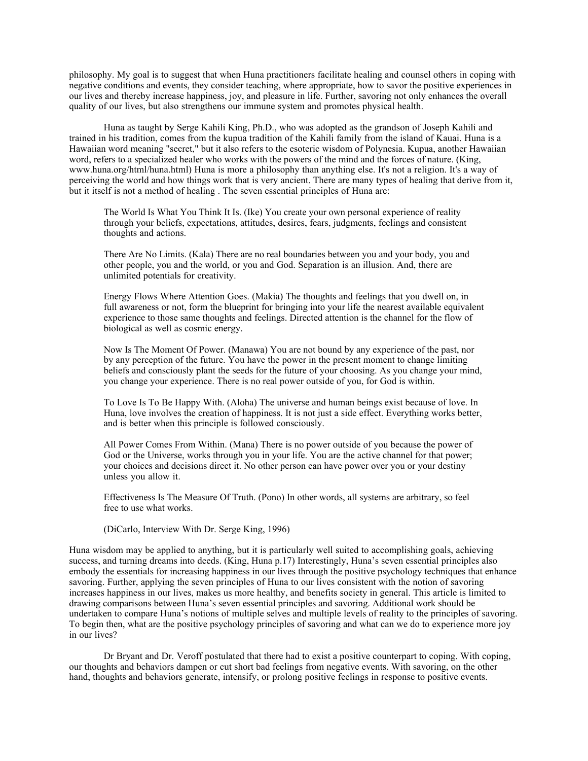philosophy. My goal is to suggest that when Huna practitioners facilitate healing and counsel others in coping with negative conditions and events, they consider teaching, where appropriate, how to savor the positive experiences in our lives and thereby increase happiness, joy, and pleasure in life. Further, savoring not only enhances the overall quality of our lives, but also strengthens our immune system and promotes physical health.

Huna as taught by Serge Kahili King, Ph.D., who was adopted as the grandson of Joseph Kahili and trained in his tradition, comes from the kupua tradition of the Kahili family from the island of Kauai. Huna is a Hawaiian word meaning "secret," but it also refers to the esoteric wisdom of Polynesia. Kupua, another Hawaiian word, refers to a specialized healer who works with the powers of the mind and the forces of nature. (King, www.huna.org/html/huna.html) Huna is more a philosophy than anything else. It's not a religion. It's a way of perceiving the world and how things work that is very ancient. There are many types of healing that derive from it, but it itself is not a method of healing . The seven essential principles of Huna are:

The World Is What You Think It Is. (Ike) You create your own personal experience of reality through your beliefs, expectations, attitudes, desires, fears, judgments, feelings and consistent thoughts and actions.

There Are No Limits. (Kala) There are no real boundaries between you and your body, you and other people, you and the world, or you and God. Separation is an illusion. And, there are unlimited potentials for creativity.

Energy Flows Where Attention Goes. (Makia) The thoughts and feelings that you dwell on, in full awareness or not, form the blueprint for bringing into your life the nearest available equivalent experience to those same thoughts and feelings. Directed attention is the channel for the flow of biological as well as cosmic energy.

Now Is The Moment Of Power. (Manawa) You are not bound by any experience of the past, nor by any perception of the future. You have the power in the present moment to change limiting beliefs and consciously plant the seeds for the future of your choosing. As you change your mind, you change your experience. There is no real power outside of you, for God is within.

To Love Is To Be Happy With. (Aloha) The universe and human beings exist because of love. In Huna, love involves the creation of happiness. It is not just a side effect. Everything works better, and is better when this principle is followed consciously.

All Power Comes From Within. (Mana) There is no power outside of you because the power of God or the Universe, works through you in your life. You are the active channel for that power; your choices and decisions direct it. No other person can have power over you or your destiny unless you allow it.

Effectiveness Is The Measure Of Truth. (Pono) In other words, all systems are arbitrary, so feel free to use what works.

(DiCarlo, Interview With Dr. Serge King, 1996)

Huna wisdom may be applied to anything, but it is particularly well suited to accomplishing goals, achieving success, and turning dreams into deeds. (King, Huna p.17) Interestingly, Huna's seven essential principles also embody the essentials for increasing happiness in our lives through the positive psychology techniques that enhance savoring. Further, applying the seven principles of Huna to our lives consistent with the notion of savoring increases happiness in our lives, makes us more healthy, and benefits society in general. This article is limited to drawing comparisons between Huna's seven essential principles and savoring. Additional work should be undertaken to compare Huna's notions of multiple selves and multiple levels of reality to the principles of savoring. To begin then, what are the positive psychology principles of savoring and what can we do to experience more joy in our lives?

Dr Bryant and Dr. Veroff postulated that there had to exist a positive counterpart to coping. With coping, our thoughts and behaviors dampen or cut short bad feelings from negative events. With savoring, on the other hand, thoughts and behaviors generate, intensify, or prolong positive feelings in response to positive events.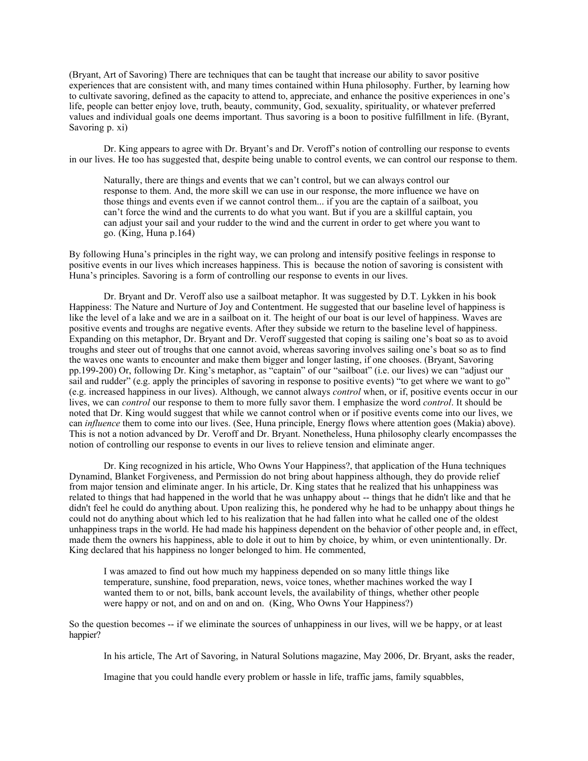(Bryant, Art of Savoring) There are techniques that can be taught that increase our ability to savor positive experiences that are consistent with, and many times contained within Huna philosophy. Further, by learning how to cultivate savoring, defined as the capacity to attend to, appreciate, and enhance the positive experiences in one's life, people can better enjoy love, truth, beauty, community, God, sexuality, spirituality, or whatever preferred values and individual goals one deems important. Thus savoring is a boon to positive fulfillment in life. (Byrant, Savoring p. xi)

Dr. King appears to agree with Dr. Bryant's and Dr. Veroff's notion of controlling our response to events in our lives. He too has suggested that, despite being unable to control events, we can control our response to them.

Naturally, there are things and events that we can't control, but we can always control our response to them. And, the more skill we can use in our response, the more influence we have on those things and events even if we cannot control them... if you are the captain of a sailboat, you can't force the wind and the currents to do what you want. But if you are a skillful captain, you can adjust your sail and your rudder to the wind and the current in order to get where you want to go. (King, Huna p.164)

By following Huna's principles in the right way, we can prolong and intensify positive feelings in response to positive events in our lives which increases happiness. This is because the notion of savoring is consistent with Huna's principles. Savoring is a form of controlling our response to events in our lives.

Dr. Bryant and Dr. Veroff also use a sailboat metaphor. It was suggested by D.T. Lykken in his book Happiness: The Nature and Nurture of Joy and Contentment. He suggested that our baseline level of happiness is like the level of a lake and we are in a sailboat on it. The height of our boat is our level of happiness. Waves are positive events and troughs are negative events. After they subside we return to the baseline level of happiness. Expanding on this metaphor, Dr. Bryant and Dr. Veroff suggested that coping is sailing one's boat so as to avoid troughs and steer out of troughs that one cannot avoid, whereas savoring involves sailing one's boat so as to find the waves one wants to encounter and make them bigger and longer lasting, if one chooses. (Bryant, Savoring pp.199-200) Or, following Dr. King's metaphor, as "captain" of our "sailboat" (i.e. our lives) we can "adjust our sail and rudder" (e.g. apply the principles of savoring in response to positive events) "to get where we want to go" (e.g. increased happiness in our lives). Although, we cannot always *control* when, or if, positive events occur in our lives, we can *control* our response to them to more fully savor them. I emphasize the word *control*. It should be noted that Dr. King would suggest that while we cannot control when or if positive events come into our lives, we can *influence* them to come into our lives. (See, Huna principle, Energy flows where attention goes (Makia) above). This is not a notion advanced by Dr. Veroff and Dr. Bryant. Nonetheless, Huna philosophy clearly encompasses the notion of controlling our response to events in our lives to relieve tension and eliminate anger.

Dr. King recognized in his article, Who Owns Your Happiness?, that application of the Huna techniques Dynamind, Blanket Forgiveness, and Permission do not bring about happiness although, they do provide relief from major tension and eliminate anger. In his article, Dr. King states that he realized that his unhappiness was related to things that had happened in the world that he was unhappy about -- things that he didn't like and that he didn't feel he could do anything about. Upon realizing this, he pondered why he had to be unhappy about things he could not do anything about which led to his realization that he had fallen into what he called one of the oldest unhappiness traps in the world. He had made his happiness dependent on the behavior of other people and, in effect, made them the owners his happiness, able to dole it out to him by choice, by whim, or even unintentionally. Dr. King declared that his happiness no longer belonged to him. He commented,

I was amazed to find out how much my happiness depended on so many little things like temperature, sunshine, food preparation, news, voice tones, whether machines worked the way I wanted them to or not, bills, bank account levels, the availability of things, whether other people were happy or not, and on and on and on. (King, Who Owns Your Happiness?)

So the question becomes -- if we eliminate the sources of unhappiness in our lives, will we be happy, or at least happier?

In his article, The Art of Savoring, in Natural Solutions magazine, May 2006, Dr. Bryant, asks the reader,

Imagine that you could handle every problem or hassle in life, traffic jams, family squabbles,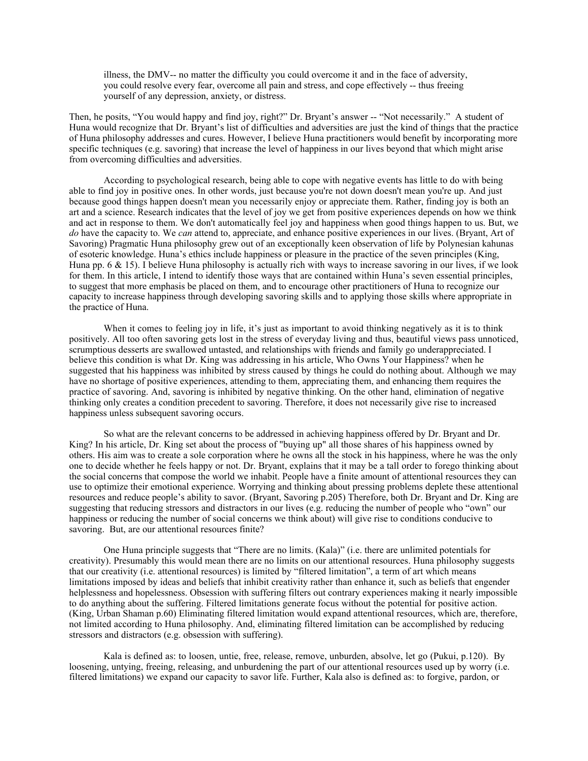illness, the DMV-- no matter the difficulty you could overcome it and in the face of adversity, you could resolve every fear, overcome all pain and stress, and cope effectively -- thus freeing yourself of any depression, anxiety, or distress.

Then, he posits, "You would happy and find joy, right?" Dr. Bryant's answer -- "Not necessarily." A student of Huna would recognize that Dr. Bryant's list of difficulties and adversities are just the kind of things that the practice of Huna philosophy addresses and cures. However, I believe Huna practitioners would benefit by incorporating more specific techniques (e.g. savoring) that increase the level of happiness in our lives beyond that which might arise from overcoming difficulties and adversities.

According to psychological research, being able to cope with negative events has little to do with being able to find joy in positive ones. In other words, just because you're not down doesn't mean you're up. And just because good things happen doesn't mean you necessarily enjoy or appreciate them. Rather, finding joy is both an art and a science. Research indicates that the level of joy we get from positive experiences depends on how we think and act in response to them. We don't automatically feel joy and happiness when good things happen to us. But, we *do* have the capacity to. We *can* attend to, appreciate, and enhance positive experiences in our lives. (Bryant, Art of Savoring) Pragmatic Huna philosophy grew out of an exceptionally keen observation of life by Polynesian kahunas of esoteric knowledge. Huna's ethics include happiness or pleasure in the practice of the seven principles (King, Huna pp. 6 & 15). I believe Huna philosophy is actually rich with ways to increase savoring in our lives, if we look for them. In this article, I intend to identify those ways that are contained within Huna's seven essential principles, to suggest that more emphasis be placed on them, and to encourage other practitioners of Huna to recognize our capacity to increase happiness through developing savoring skills and to applying those skills where appropriate in the practice of Huna.

When it comes to feeling joy in life, it's just as important to avoid thinking negatively as it is to think positively. All too often savoring gets lost in the stress of everyday living and thus, beautiful views pass unnoticed, scrumptious desserts are swallowed untasted, and relationships with friends and family go underappreciated. I believe this condition is what Dr. King was addressing in his article, Who Owns Your Happiness? when he suggested that his happiness was inhibited by stress caused by things he could do nothing about. Although we may have no shortage of positive experiences, attending to them, appreciating them, and enhancing them requires the practice of savoring. And, savoring is inhibited by negative thinking. On the other hand, elimination of negative thinking only creates a condition precedent to savoring. Therefore, it does not necessarily give rise to increased happiness unless subsequent savoring occurs.

So what are the relevant concerns to be addressed in achieving happiness offered by Dr. Bryant and Dr. King? In his article, Dr. King set about the process of "buying up" all those shares of his happiness owned by others. His aim was to create a sole corporation where he owns all the stock in his happiness, where he was the only one to decide whether he feels happy or not. Dr. Bryant, explains that it may be a tall order to forego thinking about the social concerns that compose the world we inhabit. People have a finite amount of attentional resources they can use to optimize their emotional experience. Worrying and thinking about pressing problems deplete these attentional resources and reduce people's ability to savor. (Bryant, Savoring p.205) Therefore, both Dr. Bryant and Dr. King are suggesting that reducing stressors and distractors in our lives (e.g. reducing the number of people who "own" our happiness or reducing the number of social concerns we think about) will give rise to conditions conducive to savoring. But, are our attentional resources finite?

One Huna principle suggests that "There are no limits. (Kala)" (i.e. there are unlimited potentials for creativity). Presumably this would mean there are no limits on our attentional resources. Huna philosophy suggests that our creativity (i.e. attentional resources) is limited by "filtered limitation", a term of art which means limitations imposed by ideas and beliefs that inhibit creativity rather than enhance it, such as beliefs that engender helplessness and hopelessness. Obsession with suffering filters out contrary experiences making it nearly impossible to do anything about the suffering. Filtered limitations generate focus without the potential for positive action. (King, Urban Shaman p.60) Eliminating filtered limitation would expand attentional resources, which are, therefore, not limited according to Huna philosophy. And, eliminating filtered limitation can be accomplished by reducing stressors and distractors (e.g. obsession with suffering).

Kala is defined as: to loosen, untie, free, release, remove, unburden, absolve, let go (Pukui, p.120). By loosening, untying, freeing, releasing, and unburdening the part of our attentional resources used up by worry (i.e. filtered limitations) we expand our capacity to savor life. Further, Kala also is defined as: to forgive, pardon, or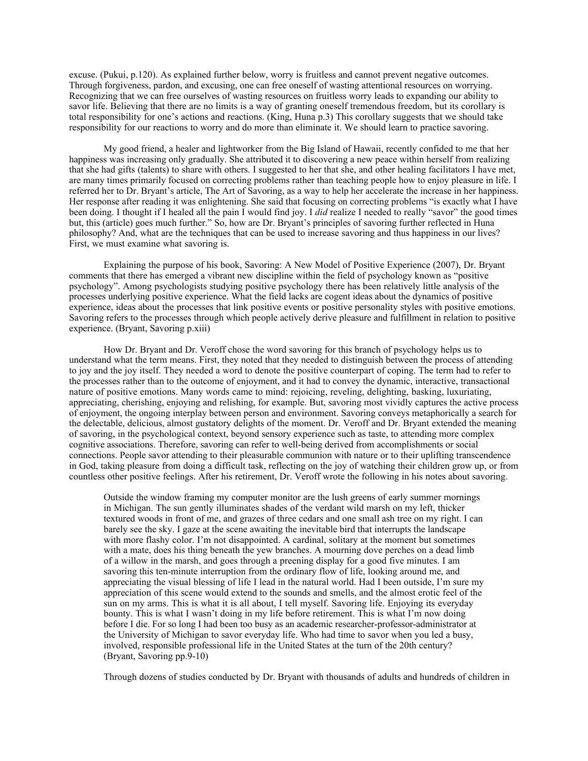excuse. (Pukui, p.120). As explained further below, worry is fruitless and cannot prevent negative outcomes. Through forgiveness, pardon, and excusing, one can free oneself of wasting attentional resources on worrying. Recognizing that we can free ourselves of wasting resources on fruitless worry leads to expanding our ability to savor life. Believing that there are no limits is a way of granting oneself tremendous freedom, but its corollary is total responsibility for one's actions and reactions. (King, Huna p.3) This corollary suggests that we should take responsibility for our reactions to worry and do more than eliminate it. We should learn to practice savoring.

My good friend, a healer and lightworker from the Big Island of Hawaii, recently confided to me that her happiness was increasing only gradually. She attributed it to discovering a new peace within herself from realizing that she had gifts (talents) to share with others. I suggested to her that she, and other healing facilitators I have met, are many times primarily focused on correcting problems rather than teaching people how to enjoy pleasure in life. I referred her to Dr. Bryant's article, The Art of Savoring, as a way to help her accelerate the increase in her happiness. Her response after reading it was enlightening. She said that focusing on correcting problems "is exactly what I have been doing. I thought if I healed all the pain I would find joy. I *did* realize I needed to really "savor" the good times but, this (article) goes much further." So, how are Dr. Bryant's principles of savoring further reflected in Huna philosophy? And, what are the techniques that can be used to increase savoring and thus happiness in our lives? First, we must examine what savoring is.

Explaining the purpose of his book, Savoring: A New Model of Positive Experience (2007), Dr. Bryant comments that there has emerged a vibrant new discipline within the field of psychology known as "positive psychology". Among psychologists studying positive psychology there has been relatively little analysis of the processes underlying positive experience. What the field lacks are cogent ideas about the dynamics of positive experience, ideas about the processes that link positive events or positive personality styles with positive emotions. Savoring refers to the processes through which people actively derive pleasure and fulfillment in relation to positive experience. (Bryant, Savoring p.xiii)

How Dr. Bryant and Dr. Veroff chose the word savoring for this branch of psychology helps us to understand what the term means. First, they noted that they needed to distinguish between the process of attending to joy and the joy itself. They needed a word to denote the positive counterpart of coping. The term had to refer to the processes rather than to the outcome of enjoyment, and it had to convey the dynamic, interactive, transactional nature of positive emotions. Many words came to mind: rejoicing, reveling, delighting, basking, luxuriating, appreciating, cherishing, enjoying and relishing, for example. But, savoring most vividly captures the active process of enjoyment, the ongoing interplay between person and environment. Savoring conveys metaphorically a search for the delectable, delicious, almost gustatory delights of the moment. Dr. Veroff and Dr. Bryant extended the meaning of savoring, in the psychological context, beyond sensory experience such as taste, to attending more complex cognitive associations. Therefore, savoring can refer to well-being derived from accomplishments or social connections. People savor attending to their pleasurable communion with nature or to their uplifting transcendence in God, taking pleasure from doing a difficult task, reflecting on the joy of watching their children grow up, or from countless other positive feelings. After his retirement, Dr. Veroff wrote the following in his notes about savoring.

Outside the window framing my computer monitor are the lush greens of early summer mornings in Michigan. The sun gently illuminates shades of the verdant wild marsh on my left, thicker textured woods in front of me, and grazes of three cedars and one small ash tree on my right. I can barely see the sky. I gaze at the scene awaiting the inevitable bird that interrupts the landscape with more flashy color. I'm not disappointed. A cardinal, solitary at the moment but sometimes with a mate, does his thing beneath the yew branches. A mourning dove perches on a dead limb of a willow in the marsh, and goes through a preening display for a good five minutes. I am savoring this ten-minute interruption from the ordinary flow of life, looking around me, and appreciating the visual blessing of life I lead in the natural world. Had I been outside, I'm sure my appreciation of this scene would extend to the sounds and smells, and the almost erotic feel of the sun on my arms. This is what it is all about, I tell myself. Savoring life. Enjoying its everyday bounty. This is what I wasn't doing in my life before retirement. This is what I'm now doing before I die. For so long I had been too busy as an academic researcher-professor-administrator at the University of Michigan to savor everyday life. Who had time to savor when you led a busy, involved, responsible professional life in the United States at the turn of the 20th century? (Bryant, Savoring pp.9-10)

Through dozens of studies conducted by Dr. Bryant with thousands of adults and hundreds of children in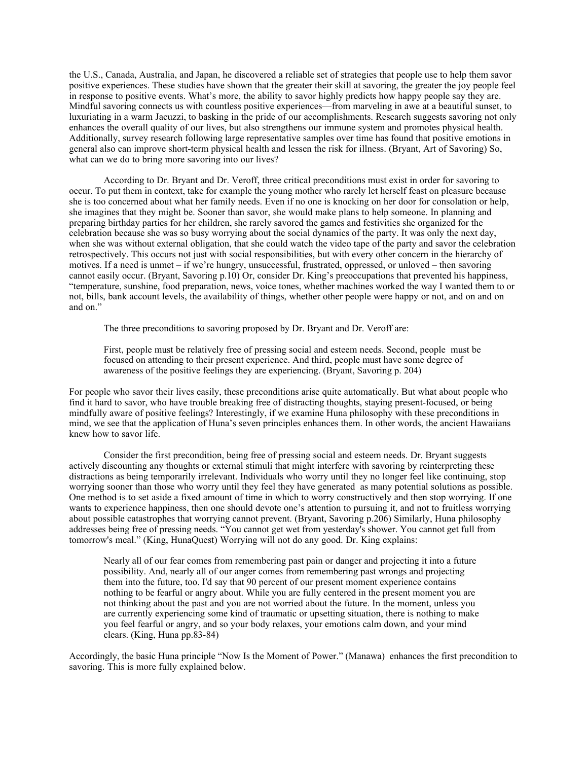the U.S., Canada, Australia, and Japan, he discovered a reliable set of strategies that people use to help them savor positive experiences. These studies have shown that the greater their skill at savoring, the greater the joy people feel in response to positive events. What's more, the ability to savor highly predicts how happy people say they are. Mindful savoring connects us with countless positive experiences—from marveling in awe at a beautiful sunset, to luxuriating in a warm Jacuzzi, to basking in the pride of our accomplishments. Research suggests savoring not only enhances the overall quality of our lives, but also strengthens our immune system and promotes physical health. Additionally, survey research following large representative samples over time has found that positive emotions in general also can improve short-term physical health and lessen the risk for illness. (Bryant, Art of Savoring) So, what can we do to bring more savoring into our lives?

According to Dr. Bryant and Dr. Veroff, three critical preconditions must exist in order for savoring to occur. To put them in context, take for example the young mother who rarely let herself feast on pleasure because she is too concerned about what her family needs. Even if no one is knocking on her door for consolation or help, she imagines that they might be. Sooner than savor, she would make plans to help someone. In planning and preparing birthday parties for her children, she rarely savored the games and festivities she organized for the celebration because she was so busy worrying about the social dynamics of the party. It was only the next day, when she was without external obligation, that she could watch the video tape of the party and savor the celebration retrospectively. This occurs not just with social responsibilities, but with every other concern in the hierarchy of motives. If a need is unmet – if we're hungry, unsuccessful, frustrated, oppressed, or unloved – then savoring cannot easily occur. (Bryant, Savoring p.10) Or, consider Dr. King's preoccupations that prevented his happiness, "temperature, sunshine, food preparation, news, voice tones, whether machines worked the way I wanted them to or not, bills, bank account levels, the availability of things, whether other people were happy or not, and on and on and on."

The three preconditions to savoring proposed by Dr. Bryant and Dr. Veroff are:

First, people must be relatively free of pressing social and esteem needs. Second, people must be focused on attending to their present experience. And third, people must have some degree of awareness of the positive feelings they are experiencing. (Bryant, Savoring p. 204)

For people who savor their lives easily, these preconditions arise quite automatically. But what about people who find it hard to savor, who have trouble breaking free of distracting thoughts, staying present-focused, or being mindfully aware of positive feelings? Interestingly, if we examine Huna philosophy with these preconditions in mind, we see that the application of Huna's seven principles enhances them. In other words, the ancient Hawaiians knew how to savor life.

Consider the first precondition, being free of pressing social and esteem needs. Dr. Bryant suggests actively discounting any thoughts or external stimuli that might interfere with savoring by reinterpreting these distractions as being temporarily irrelevant. Individuals who worry until they no longer feel like continuing, stop worrying sooner than those who worry until they feel they have generated as many potential solutions as possible. One method is to set aside a fixed amount of time in which to worry constructively and then stop worrying. If one wants to experience happiness, then one should devote one's attention to pursuing it, and not to fruitless worrying about possible catastrophes that worrying cannot prevent. (Bryant, Savoring p.206) Similarly, Huna philosophy addresses being free of pressing needs. "You cannot get wet from yesterday's shower. You cannot get full from tomorrow's meal." (King, HunaQuest) Worrying will not do any good. Dr. King explains:

Nearly all of our fear comes from remembering past pain or danger and projecting it into a future possibility. And, nearly all of our anger comes from remembering past wrongs and projecting them into the future, too. I'd say that 90 percent of our present moment experience contains nothing to be fearful or angry about. While you are fully centered in the present moment you are not thinking about the past and you are not worried about the future. In the moment, unless you are currently experiencing some kind of traumatic or upsetting situation, there is nothing to make you feel fearful or angry, and so your body relaxes, your emotions calm down, and your mind clears. (King, Huna pp.83-84)

Accordingly, the basic Huna principle "Now Is the Moment of Power." (Manawa) enhances the first precondition to savoring. This is more fully explained below.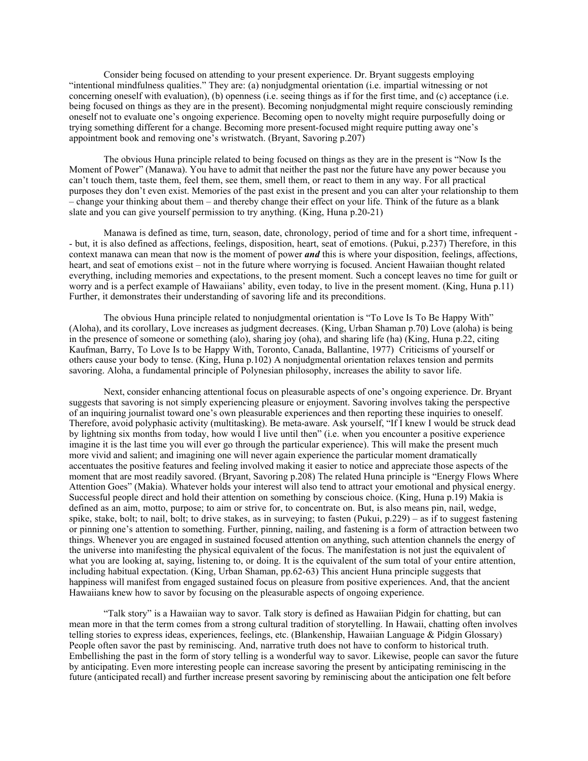Consider being focused on attending to your present experience. Dr. Bryant suggests employing "intentional mindfulness qualities." They are: (a) nonjudgmental orientation (i.e. impartial witnessing or not concerning oneself with evaluation), (b) openness (i.e. seeing things as if for the first time, and (c) acceptance (i.e. being focused on things as they are in the present). Becoming nonjudgmental might require consciously reminding oneself not to evaluate one's ongoing experience. Becoming open to novelty might require purposefully doing or trying something different for a change. Becoming more present-focused might require putting away one's appointment book and removing one's wristwatch. (Bryant, Savoring p.207)

The obvious Huna principle related to being focused on things as they are in the present is "Now Is the Moment of Power" (Manawa). You have to admit that neither the past nor the future have any power because you can't touch them, taste them, feel them, see them, smell them, or react to them in any way. For all practical purposes they don't even exist. Memories of the past exist in the present and you can alter your relationship to them – change your thinking about them – and thereby change their effect on your life. Think of the future as a blank slate and you can give yourself permission to try anything. (King, Huna p.20-21)

Manawa is defined as time, turn, season, date, chronology, period of time and for a short time, infrequent - - but, it is also defined as affections, feelings, disposition, heart, seat of emotions. (Pukui, p.237) Therefore, in this context manawa can mean that now is the moment of power *and* this is where your disposition, feelings, affections, heart, and seat of emotions exist – not in the future where worrying is focused. Ancient Hawaiian thought related everything, including memories and expectations, to the present moment. Such a concept leaves no time for guilt or worry and is a perfect example of Hawaiians' ability, even today, to live in the present moment. (King, Huna p.11) Further, it demonstrates their understanding of savoring life and its preconditions.

The obvious Huna principle related to nonjudgmental orientation is "To Love Is To Be Happy With" (Aloha), and its corollary, Love increases as judgment decreases. (King, Urban Shaman p.70) Love (aloha) is being in the presence of someone or something (alo), sharing joy (oha), and sharing life (ha) (King, Huna p.22, citing Kaufman, Barry, To Love Is to be Happy With, Toronto, Canada, Ballantine, 1977) Criticisms of yourself or others cause your body to tense. (King, Huna p.102) A nonjudgmental orientation relaxes tension and permits savoring. Aloha, a fundamental principle of Polynesian philosophy, increases the ability to savor life.

Next, consider enhancing attentional focus on pleasurable aspects of one's ongoing experience. Dr. Bryant suggests that savoring is not simply experiencing pleasure or enjoyment. Savoring involves taking the perspective of an inquiring journalist toward one's own pleasurable experiences and then reporting these inquiries to oneself. Therefore, avoid polyphasic activity (multitasking). Be meta-aware. Ask yourself, "If I knew I would be struck dead by lightning six months from today, how would I live until then" (i.e. when you encounter a positive experience imagine it is the last time you will ever go through the particular experience). This will make the present much more vivid and salient; and imagining one will never again experience the particular moment dramatically accentuates the positive features and feeling involved making it easier to notice and appreciate those aspects of the moment that are most readily savored. (Bryant, Savoring p.208) The related Huna principle is "Energy Flows Where Attention Goes" (Makia). Whatever holds your interest will also tend to attract your emotional and physical energy. Successful people direct and hold their attention on something by conscious choice. (King, Huna p.19) Makia is defined as an aim, motto, purpose; to aim or strive for, to concentrate on. But, is also means pin, nail, wedge, spike, stake, bolt; to nail, bolt; to drive stakes, as in surveying; to fasten (Pukui, p.229) – as if to suggest fastening or pinning one's attention to something. Further, pinning, nailing, and fastening is a form of attraction between two things. Whenever you are engaged in sustained focused attention on anything, such attention channels the energy of the universe into manifesting the physical equivalent of the focus. The manifestation is not just the equivalent of what you are looking at, saying, listening to, or doing. It is the equivalent of the sum total of your entire attention, including habitual expectation. (King, Urban Shaman, pp.62-63) This ancient Huna principle suggests that happiness will manifest from engaged sustained focus on pleasure from positive experiences. And, that the ancient Hawaiians knew how to savor by focusing on the pleasurable aspects of ongoing experience.

"Talk story" is a Hawaiian way to savor. Talk story is defined as Hawaiian Pidgin for chatting, but can mean more in that the term comes from a strong cultural tradition of storytelling. In Hawaii, chatting often involves telling stories to express ideas, experiences, feelings, etc. (Blankenship, Hawaiian Language & Pidgin Glossary) People often savor the past by reminiscing. And, narrative truth does not have to conform to historical truth. Embellishing the past in the form of story telling is a wonderful way to savor. Likewise, people can savor the future by anticipating. Even more interesting people can increase savoring the present by anticipating reminiscing in the future (anticipated recall) and further increase present savoring by reminiscing about the anticipation one felt before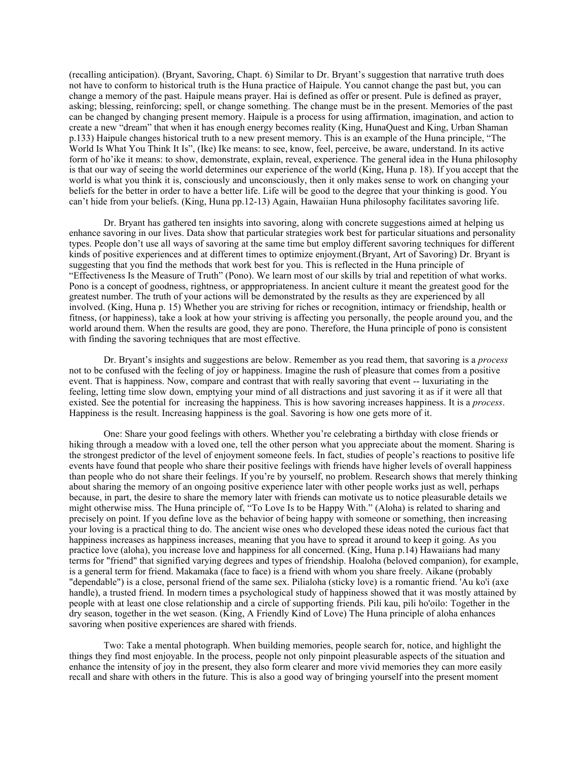(recalling anticipation). (Bryant, Savoring, Chapt. 6) Similar to Dr. Bryant's suggestion that narrative truth does not have to conform to historical truth is the Huna practice of Haipule. You cannot change the past but, you can change a memory of the past. Haipule means prayer. Hai is defined as offer or present. Pule is defined as prayer, asking; blessing, reinforcing; spell, or change something. The change must be in the present. Memories of the past can be changed by changing present memory. Haipule is a process for using affirmation, imagination, and action to create a new "dream" that when it has enough energy becomes reality (King, HunaQuest and King, Urban Shaman p.133) Haipule changes historical truth to a new present memory. This is an example of the Huna principle, "The World Is What You Think It Is", (Ike) Ike means: to see, know, feel, perceive, be aware, understand. In its active form of ho'ike it means: to show, demonstrate, explain, reveal, experience. The general idea in the Huna philosophy is that our way of seeing the world determines our experience of the world (King, Huna p. 18). If you accept that the world is what you think it is, consciously and unconsciously, then it only makes sense to work on changing your beliefs for the better in order to have a better life. Life will be good to the degree that your thinking is good. You can't hide from your beliefs. (King, Huna pp.12-13) Again, Hawaiian Huna philosophy facilitates savoring life.

Dr. Bryant has gathered ten insights into savoring, along with concrete suggestions aimed at helping us enhance savoring in our lives. Data show that particular strategies work best for particular situations and personality types. People don't use all ways of savoring at the same time but employ different savoring techniques for different kinds of positive experiences and at different times to optimize enjoyment.(Bryant, Art of Savoring) Dr. Bryant is suggesting that you find the methods that work best for you. This is reflected in the Huna principle of "Effectiveness Is the Measure of Truth" (Pono). We learn most of our skills by trial and repetition of what works. Pono is a concept of goodness, rightness, or apppropriateness. In ancient culture it meant the greatest good for the greatest number. The truth of your actions will be demonstrated by the results as they are experienced by all involved. (King, Huna p. 15) Whether you are striving for riches or recognition, intimacy or friendship, health or fitness, (or happiness), take a look at how your striving is affecting you personally, the people around you, and the world around them. When the results are good, they are pono. Therefore, the Huna principle of pono is consistent with finding the savoring techniques that are most effective.

Dr. Bryant's insights and suggestions are below. Remember as you read them, that savoring is a *process* not to be confused with the feeling of joy or happiness. Imagine the rush of pleasure that comes from a positive event. That is happiness. Now, compare and contrast that with really savoring that event -- luxuriating in the feeling, letting time slow down, emptying your mind of all distractions and just savoring it as if it were all that existed. See the potential for increasing the happiness. This is how savoring increases happiness. It is a *process*. Happiness is the result. Increasing happiness is the goal. Savoring is how one gets more of it.

One: Share your good feelings with others. Whether you're celebrating a birthday with close friends or hiking through a meadow with a loved one, tell the other person what you appreciate about the moment. Sharing is the strongest predictor of the level of enjoyment someone feels. In fact, studies of people's reactions to positive life events have found that people who share their positive feelings with friends have higher levels of overall happiness than people who do not share their feelings. If you're by yourself, no problem. Research shows that merely thinking about sharing the memory of an ongoing positive experience later with other people works just as well, perhaps because, in part, the desire to share the memory later with friends can motivate us to notice pleasurable details we might otherwise miss. The Huna principle of, "To Love Is to be Happy With." (Aloha) is related to sharing and precisely on point. If you define love as the behavior of being happy with someone or something, then increasing your loving is a practical thing to do. The ancient wise ones who developed these ideas noted the curious fact that happiness increases as happiness increases, meaning that you have to spread it around to keep it going. As you practice love (aloha), you increase love and happiness for all concerned. (King, Huna p.14) Hawaiians had many terms for "friend" that signified varying degrees and types of friendship. Hoaloha (beloved companion), for example, is a general term for friend. Makamaka (face to face) is a friend with whom you share freely. Aikane (probably "dependable") is a close, personal friend of the same sex. Pilialoha (sticky love) is a romantic friend. 'Au ko'i (axe handle), a trusted friend. In modern times a psychological study of happiness showed that it was mostly attained by people with at least one close relationship and a circle of supporting friends. Pili kau, pili ho'oilo: Together in the dry season, together in the wet season. (King, A Friendly Kind of Love) The Huna principle of aloha enhances savoring when positive experiences are shared with friends.

Two: Take a mental photograph. When building memories, people search for, notice, and highlight the things they find most enjoyable. In the process, people not only pinpoint pleasurable aspects of the situation and enhance the intensity of joy in the present, they also form clearer and more vivid memories they can more easily recall and share with others in the future. This is also a good way of bringing yourself into the present moment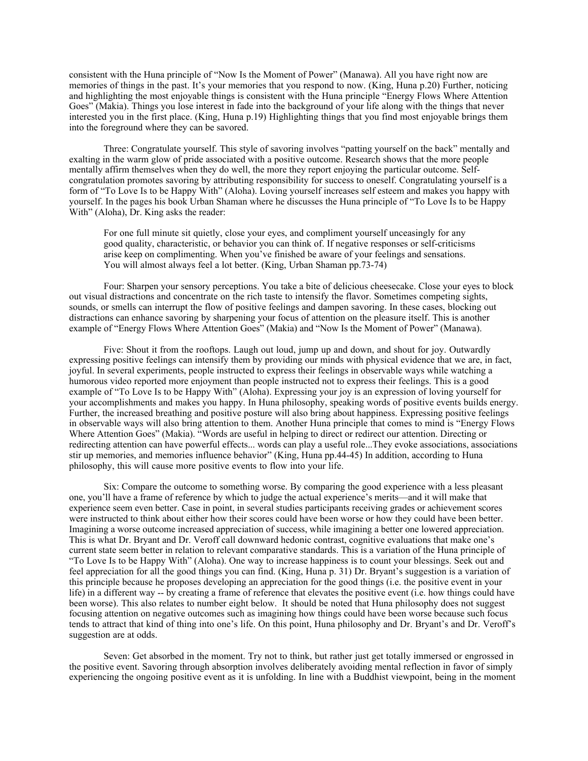consistent with the Huna principle of "Now Is the Moment of Power" (Manawa). All you have right now are memories of things in the past. It's your memories that you respond to now. (King, Huna p.20) Further, noticing and highlighting the most enjoyable things is consistent with the Huna principle "Energy Flows Where Attention Goes" (Makia). Things you lose interest in fade into the background of your life along with the things that never interested you in the first place. (King, Huna p.19) Highlighting things that you find most enjoyable brings them into the foreground where they can be savored.

Three: Congratulate yourself. This style of savoring involves "patting yourself on the back" mentally and exalting in the warm glow of pride associated with a positive outcome. Research shows that the more people mentally affirm themselves when they do well, the more they report enjoying the particular outcome. Selfcongratulation promotes savoring by attributing responsibility for success to oneself. Congratulating yourself is a form of "To Love Is to be Happy With" (Aloha). Loving yourself increases self esteem and makes you happy with yourself. In the pages his book Urban Shaman where he discusses the Huna principle of "To Love Is to be Happy With" (Aloha), Dr. King asks the reader:

For one full minute sit quietly, close your eyes, and compliment yourself unceasingly for any good quality, characteristic, or behavior you can think of. If negative responses or self-criticisms arise keep on complimenting. When you've finished be aware of your feelings and sensations. You will almost always feel a lot better. (King, Urban Shaman pp.73-74)

Four: Sharpen your sensory perceptions. You take a bite of delicious cheesecake. Close your eyes to block out visual distractions and concentrate on the rich taste to intensify the flavor. Sometimes competing sights, sounds, or smells can interrupt the flow of positive feelings and dampen savoring. In these cases, blocking out distractions can enhance savoring by sharpening your focus of attention on the pleasure itself. This is another example of "Energy Flows Where Attention Goes" (Makia) and "Now Is the Moment of Power" (Manawa).

Five: Shout it from the rooftops. Laugh out loud, jump up and down, and shout for joy. Outwardly expressing positive feelings can intensify them by providing our minds with physical evidence that we are, in fact, joyful. In several experiments, people instructed to express their feelings in observable ways while watching a humorous video reported more enjoyment than people instructed not to express their feelings. This is a good example of "To Love Is to be Happy With" (Aloha). Expressing your joy is an expression of loving yourself for your accomplishments and makes you happy. In Huna philosophy, speaking words of positive events builds energy. Further, the increased breathing and positive posture will also bring about happiness. Expressing positive feelings in observable ways will also bring attention to them. Another Huna principle that comes to mind is "Energy Flows Where Attention Goes" (Makia). "Words are useful in helping to direct or redirect our attention. Directing or redirecting attention can have powerful effects... words can play a useful role...They evoke associations, associations stir up memories, and memories influence behavior" (King, Huna pp.44-45) In addition, according to Huna philosophy, this will cause more positive events to flow into your life.

Six: Compare the outcome to something worse. By comparing the good experience with a less pleasant one, you'll have a frame of reference by which to judge the actual experience's merits—and it will make that experience seem even better. Case in point, in several studies participants receiving grades or achievement scores were instructed to think about either how their scores could have been worse or how they could have been better. Imagining a worse outcome increased appreciation of success, while imagining a better one lowered appreciation. This is what Dr. Bryant and Dr. Veroff call downward hedonic contrast, cognitive evaluations that make one's current state seem better in relation to relevant comparative standards. This is a variation of the Huna principle of "To Love Is to be Happy With" (Aloha). One way to increase happiness is to count your blessings. Seek out and feel appreciation for all the good things you can find. (King, Huna p. 31) Dr. Bryant's suggestion is a variation of this principle because he proposes developing an appreciation for the good things (i.e. the positive event in your life) in a different way -- by creating a frame of reference that elevates the positive event (i.e. how things could have been worse). This also relates to number eight below. It should be noted that Huna philosophy does not suggest focusing attention on negative outcomes such as imagining how things could have been worse because such focus tends to attract that kind of thing into one's life. On this point, Huna philosophy and Dr. Bryant's and Dr. Veroff's suggestion are at odds.

Seven: Get absorbed in the moment. Try not to think, but rather just get totally immersed or engrossed in the positive event. Savoring through absorption involves deliberately avoiding mental reflection in favor of simply experiencing the ongoing positive event as it is unfolding. In line with a Buddhist viewpoint, being in the moment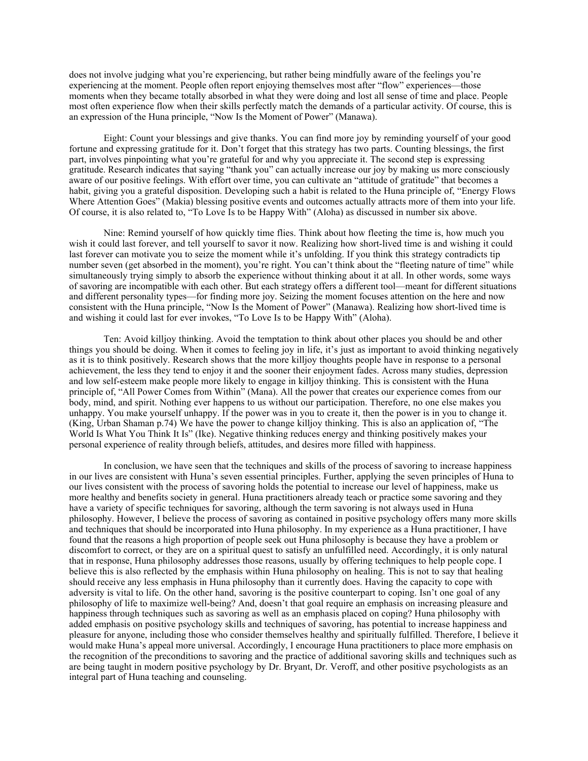does not involve judging what you're experiencing, but rather being mindfully aware of the feelings you're experiencing at the moment. People often report enjoying themselves most after "flow" experiences—those moments when they became totally absorbed in what they were doing and lost all sense of time and place. People most often experience flow when their skills perfectly match the demands of a particular activity. Of course, this is an expression of the Huna principle, "Now Is the Moment of Power" (Manawa).

Eight: Count your blessings and give thanks. You can find more joy by reminding yourself of your good fortune and expressing gratitude for it. Don't forget that this strategy has two parts. Counting blessings, the first part, involves pinpointing what you're grateful for and why you appreciate it. The second step is expressing gratitude. Research indicates that saying "thank you" can actually increase our joy by making us more consciously aware of our positive feelings. With effort over time, you can cultivate an "attitude of gratitude" that becomes a habit, giving you a grateful disposition. Developing such a habit is related to the Huna principle of, "Energy Flows Where Attention Goes" (Makia) blessing positive events and outcomes actually attracts more of them into your life. Of course, it is also related to, "To Love Is to be Happy With" (Aloha) as discussed in number six above.

Nine: Remind yourself of how quickly time flies. Think about how fleeting the time is, how much you wish it could last forever, and tell yourself to savor it now. Realizing how short-lived time is and wishing it could last forever can motivate you to seize the moment while it's unfolding. If you think this strategy contradicts tip number seven (get absorbed in the moment), you're right. You can't think about the "fleeting nature of time" while simultaneously trying simply to absorb the experience without thinking about it at all. In other words, some ways of savoring are incompatible with each other. But each strategy offers a different tool—meant for different situations and different personality types—for finding more joy. Seizing the moment focuses attention on the here and now consistent with the Huna principle, "Now Is the Moment of Power" (Manawa). Realizing how short-lived time is and wishing it could last for ever invokes, "To Love Is to be Happy With" (Aloha).

Ten: Avoid killjoy thinking. Avoid the temptation to think about other places you should be and other things you should be doing. When it comes to feeling joy in life, it's just as important to avoid thinking negatively as it is to think positively. Research shows that the more killjoy thoughts people have in response to a personal achievement, the less they tend to enjoy it and the sooner their enjoyment fades. Across many studies, depression and low self-esteem make people more likely to engage in killjoy thinking. This is consistent with the Huna principle of, "All Power Comes from Within" (Mana). All the power that creates our experience comes from our body, mind, and spirit. Nothing ever happens to us without our participation. Therefore, no one else makes you unhappy. You make yourself unhappy. If the power was in you to create it, then the power is in you to change it. (King, Urban Shaman p.74) We have the power to change killjoy thinking. This is also an application of, "The World Is What You Think It Is" (Ike). Negative thinking reduces energy and thinking positively makes your personal experience of reality through beliefs, attitudes, and desires more filled with happiness.

In conclusion, we have seen that the techniques and skills of the process of savoring to increase happiness in our lives are consistent with Huna's seven essential principles. Further, applying the seven principles of Huna to our lives consistent with the process of savoring holds the potential to increase our level of happiness, make us more healthy and benefits society in general. Huna practitioners already teach or practice some savoring and they have a variety of specific techniques for savoring, although the term savoring is not always used in Huna philosophy. However, I believe the process of savoring as contained in positive psychology offers many more skills and techniques that should be incorporated into Huna philosophy. In my experience as a Huna practitioner, I have found that the reasons a high proportion of people seek out Huna philosophy is because they have a problem or discomfort to correct, or they are on a spiritual quest to satisfy an unfulfilled need. Accordingly, it is only natural that in response, Huna philosophy addresses those reasons, usually by offering techniques to help people cope. I believe this is also reflected by the emphasis within Huna philosophy on healing. This is not to say that healing should receive any less emphasis in Huna philosophy than it currently does. Having the capacity to cope with adversity is vital to life. On the other hand, savoring is the positive counterpart to coping. Isn't one goal of any philosophy of life to maximize well-being? And, doesn't that goal require an emphasis on increasing pleasure and happiness through techniques such as savoring as well as an emphasis placed on coping? Huna philosophy with added emphasis on positive psychology skills and techniques of savoring, has potential to increase happiness and pleasure for anyone, including those who consider themselves healthy and spiritually fulfilled. Therefore, I believe it would make Huna's appeal more universal. Accordingly, I encourage Huna practitioners to place more emphasis on the recognition of the preconditions to savoring and the practice of additional savoring skills and techniques such as are being taught in modern positive psychology by Dr. Bryant, Dr. Veroff, and other positive psychologists as an integral part of Huna teaching and counseling.